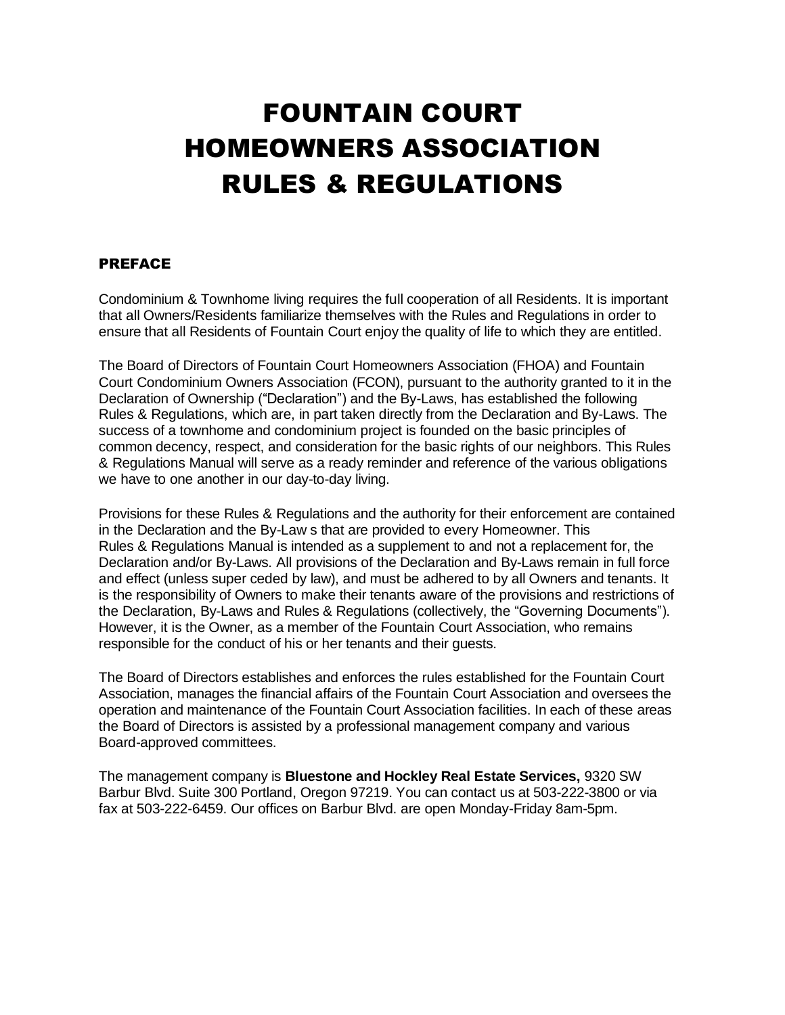# FOUNTAIN COURT HOMEOWNERS ASSOCIATION RULES & REGULATIONS

#### PREFACE

Condominium & Townhome living requires the full cooperation of all Residents. It is important that all Owners/Residents familiarize themselves with the Rules and Regulations in order to ensure that all Residents of Fountain Court enjoy the quality of life to which they are entitled.

The Board of Directors of Fountain Court Homeowners Association (FHOA) and Fountain Court Condominium Owners Association (FCON), pursuant to the authority granted to it in the Declaration of Ownership ("Declaration") and the By-Laws, has established the following Rules & Regulations, which are, in part taken directly from the Declaration and By-Laws. The success of a townhome and condominium project is founded on the basic principles of common decency, respect, and consideration for the basic rights of our neighbors. This Rules & Regulations Manual will serve as a ready reminder and reference of the various obligations we have to one another in our day-to-day living.

Provisions for these Rules & Regulations and the authority for their enforcement are contained in the Declaration and the By-Law s that are provided to every Homeowner. This Rules & Regulations Manual is intended as a supplement to and not a replacement for, the Declaration and/or By-Laws. All provisions of the Declaration and By-Laws remain in full force and effect (unless super ceded by law), and must be adhered to by all Owners and tenants. It is the responsibility of Owners to make their tenants aware of the provisions and restrictions of the Declaration, By-Laws and Rules & Regulations (collectively, the "Governing Documents"). However, it is the Owner, as a member of the Fountain Court Association, who remains responsible for the conduct of his or her tenants and their guests.

The Board of Directors establishes and enforces the rules established for the Fountain Court Association, manages the financial affairs of the Fountain Court Association and oversees the operation and maintenance of the Fountain Court Association facilities. In each of these areas the Board of Directors is assisted by a professional management company and various Board-approved committees.

The management company is **Bluestone and Hockley Real Estate Services,** 9320 SW Barbur Blvd. Suite 300 Portland, Oregon 97219. You can contact us at 503-222-3800 or via fax at 503-222-6459. Our offices on Barbur Blvd. are open Monday-Friday 8am-5pm.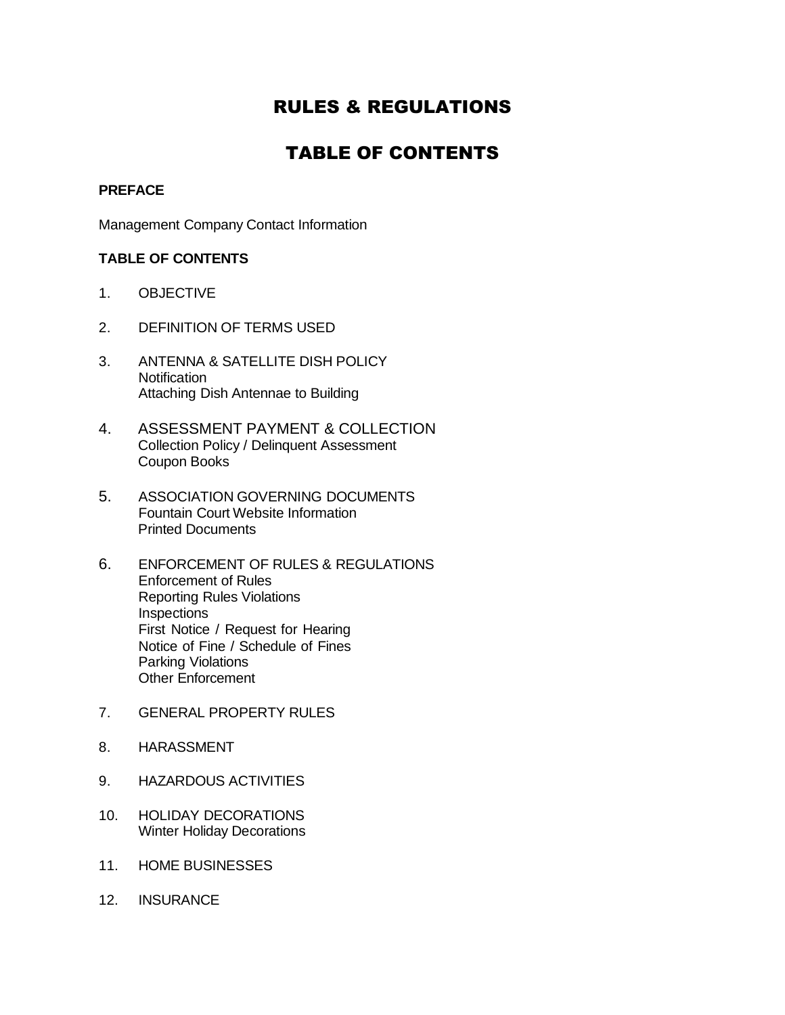# RULES & REGULATIONS

# TABLE OF CONTENTS

#### **PREFACE**

Management Company Contact Information

#### **TABLE OF CONTENTS**

- 1. OBJECTIVE
- 2. DEFINITION OF TERMS USED
- 3. ANTENNA & SATELLITE DISH POLICY **Notification** Attaching Dish Antennae to Building
- 4. ASSESSMENT PAYMENT & COLLECTION Collection Policy / Delinquent Assessment Coupon Books
- 5. ASSOCIATION GOVERNING DOCUMENTS Fountain Court Website Information Printed Documents
- 6. ENFORCEMENT OF RULES & REGULATIONS Enforcement of Rules Reporting Rules Violations Inspections First Notice / Request for Hearing Notice of Fine / Schedule of Fines Parking Violations Other Enforcement
- 7. GENERAL PROPERTY RULES
- 8. HARASSMENT
- 9. HAZARDOUS ACTIVITIES
- 10. HOLIDAY DECORATIONS Winter Holiday Decorations
- 11. HOME BUSINESSES
- 12. INSURANCE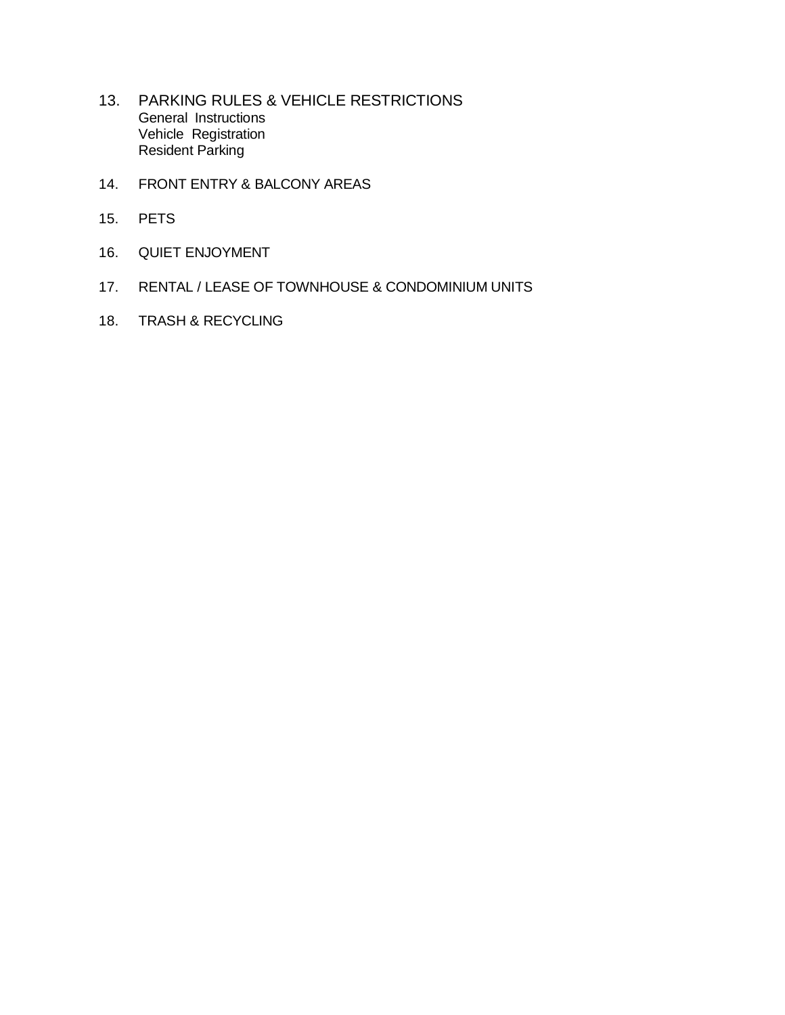- 13. PARKING RULES & VEHICLE RESTRICTIONS General Instructions Vehicle Registration Resident Parking
- 14. FRONT ENTRY & BALCONY AREAS
- 15. PETS
- 16. QUIET ENJOYMENT
- 17. RENTAL / LEASE OF TOWNHOUSE & CONDOMINIUM UNITS
- 18. TRASH & RECYCLING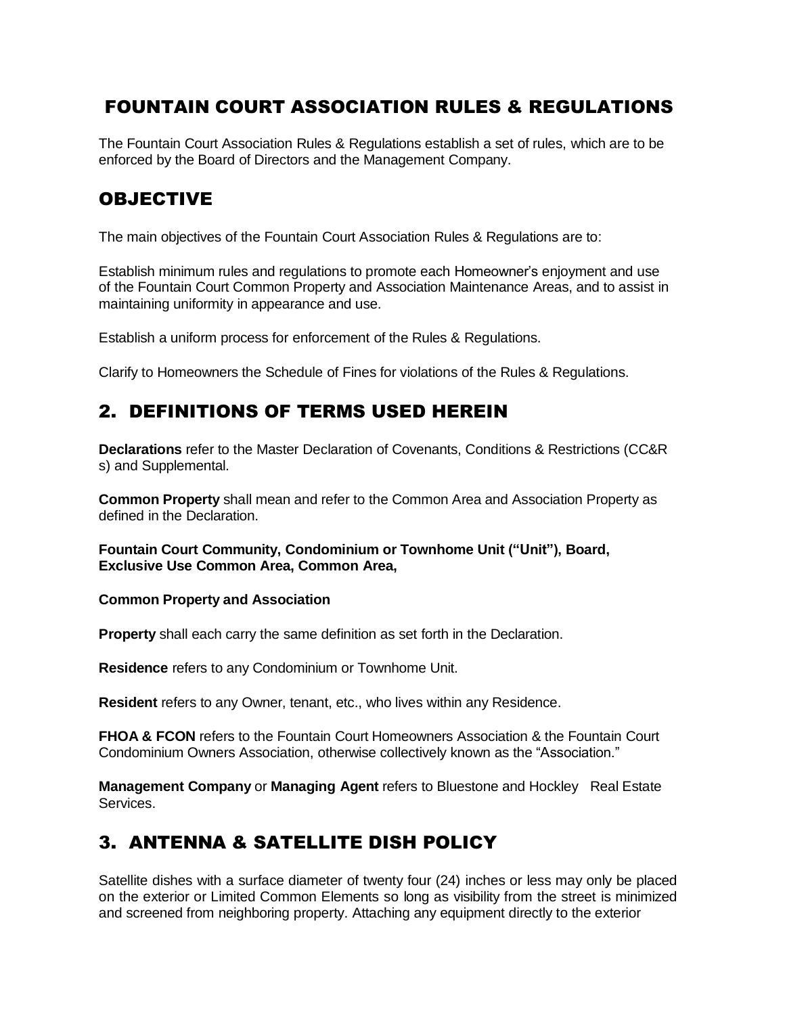# FOUNTAIN COURT ASSOCIATION RULES & REGULATIONS

The Fountain Court Association Rules & Regulations establish a set of rules, which are to be enforced by the Board of Directors and the Management Company.

#### **OBJECTIVE**

The main objectives of the Fountain Court Association Rules & Regulations are to:

Establish minimum rules and regulations to promote each Homeowner's enjoyment and use of the Fountain Court Common Property and Association Maintenance Areas, and to assist in maintaining uniformity in appearance and use.

Establish a uniform process for enforcement of the Rules & Regulations.

Clarify to Homeowners the Schedule of Fines for violations of the Rules & Regulations.

#### 2. DEFINITIONS OF TERMS USED HEREIN

**Declarations** refer to the Master Declaration of Covenants, Conditions & Restrictions (CC&R s) and Supplemental.

**Common Property** shall mean and refer to the Common Area and Association Property as defined in the Declaration.

**Fountain Court Community, Condominium or Townhome Unit ("Unit"), Board, Exclusive Use Common Area, Common Area,**

#### **Common Property and Association**

**Property** shall each carry the same definition as set forth in the Declaration.

**Residence** refers to any Condominium or Townhome Unit.

**Resident** refers to any Owner, tenant, etc., who lives within any Residence.

**FHOA & FCON** refers to the Fountain Court Homeowners Association & the Fountain Court Condominium Owners Association, otherwise collectively known as the "Association."

**Management Company** or **Managing Agent** refers to Bluestone and Hockley Real Estate Services.

### 3. ANTENNA & SATELLITE DISH POLICY

Satellite dishes with a surface diameter of twenty four (24) inches or less may only be placed on the exterior or Limited Common Elements so long as visibility from the street is minimized and screened from neighboring property. Attaching any equipment directly to the exterior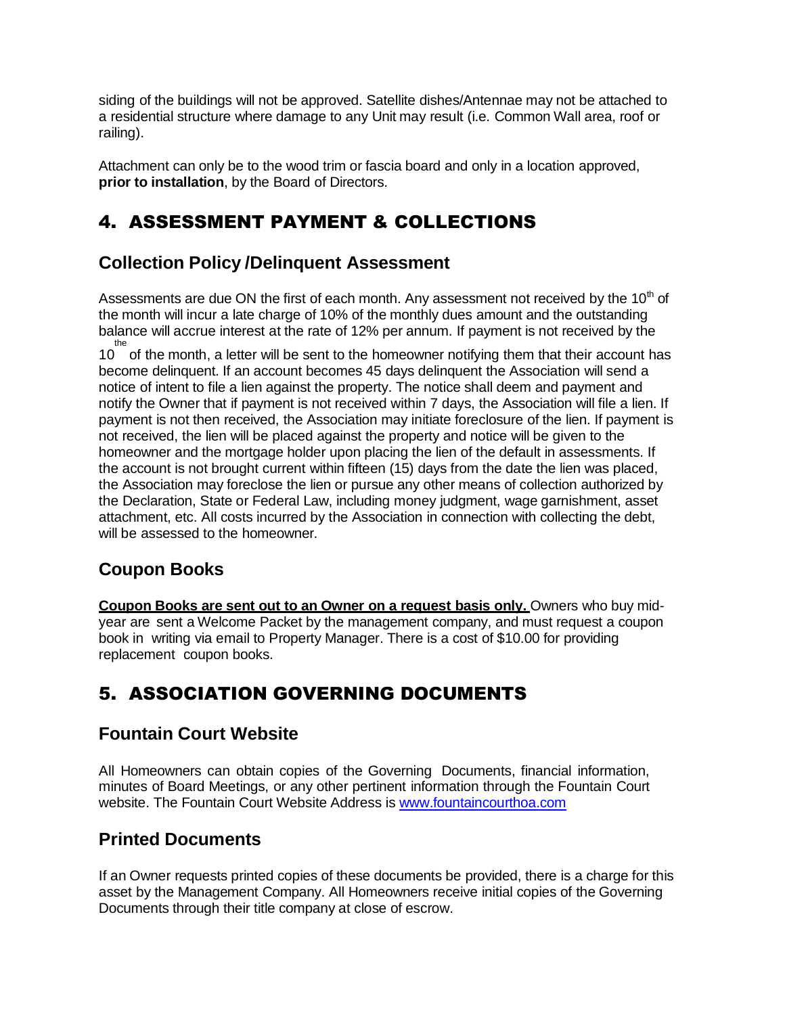siding of the buildings will not be approved. Satellite dishes/Antennae may not be attached to a residential structure where damage to any Unit may result (i.e. Common Wall area, roof or railing).

Attachment can only be to the wood trim or fascia board and only in a location approved, **prior to installation**, by the Board of Directors.

# 4. ASSESSMENT PAYMENT & COLLECTIONS

## **Collection Policy /Delinquent Assessment**

Assessments are due ON the first of each month. Any assessment not received by the  $10<sup>th</sup>$  of the month will incur a late charge of 10% of the monthly dues amount and the outstanding balance will accrue interest at the rate of 12% per annum. If payment is not received by the

the<br>10 of the month, a letter will be sent to the homeowner notifying them that their account has become delinquent. If an account becomes 45 days delinquent the Association will send a notice of intent to file a lien against the property. The notice shall deem and payment and notify the Owner that if payment is not received within 7 days, the Association will file a lien. If payment is not then received, the Association may initiate foreclosure of the lien. If payment is not received, the lien will be placed against the property and notice will be given to the homeowner and the mortgage holder upon placing the lien of the default in assessments. If the account is not brought current within fifteen (15) days from the date the lien was placed, the Association may foreclose the lien or pursue any other means of collection authorized by the Declaration, State or Federal Law, including money judgment, wage garnishment, asset attachment, etc. All costs incurred by the Association in connection with collecting the debt, will be assessed to the homeowner.

# **Coupon Books**

**Coupon Books are sent out to an Owner on a request basis only.** Owners who buy midyear are sent a Welcome Packet by the management company, and must request a coupon book in writing via email to Property Manager. There is a cost of \$10.00 for providing replacement coupon books.

# 5. ASSOCIATION GOVERNING DOCUMENTS

### **Fountain Court Website**

All Homeowners can obtain copies of the Governing Documents, financial information, minutes of Board Meetings, or any other pertinent information through the Fountain Court website. The Fountain Court Website Address is [www.fountaincourthoa.com](http://www.fountaincourthoa.com/)

### **Printed Documents**

If an Owner requests printed copies of these documents be provided, there is a charge for this asset by the Management Company. All Homeowners receive initial copies of the Governing Documents through their title company at close of escrow.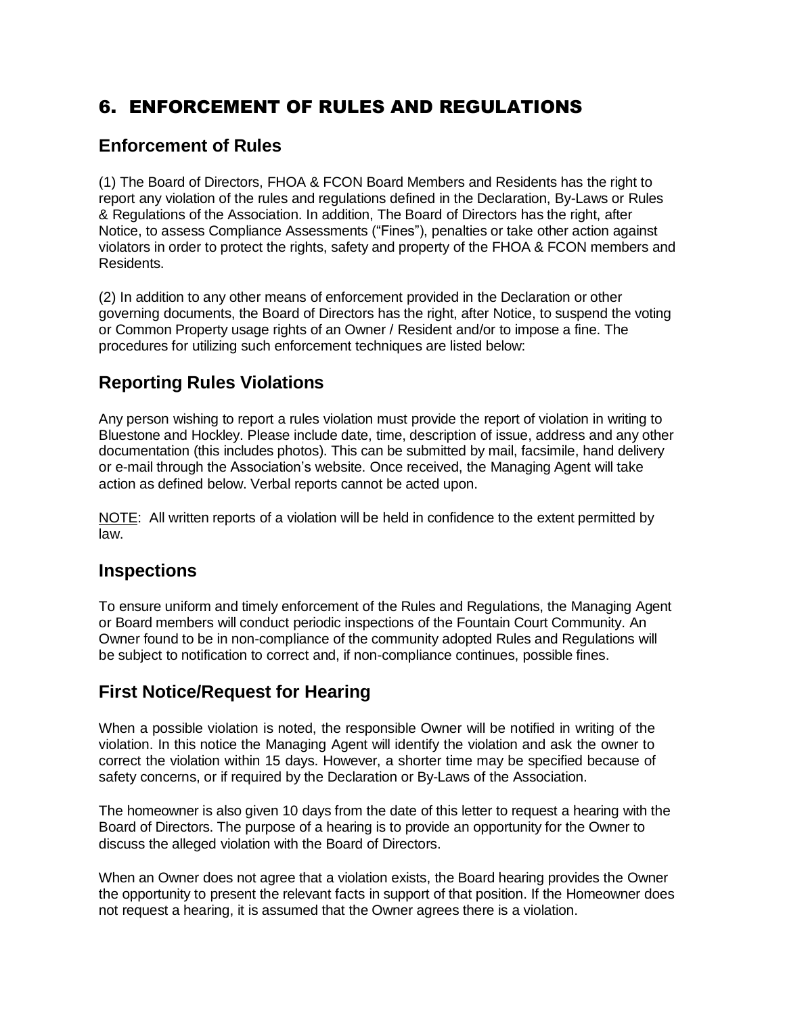# 6. ENFORCEMENT OF RULES AND REGULATIONS

#### **Enforcement of Rules**

(1) The Board of Directors, FHOA & FCON Board Members and Residents has the right to report any violation of the rules and regulations defined in the Declaration, By-Laws or Rules & Regulations of the Association. In addition, The Board of Directors has the right, after Notice, to assess Compliance Assessments ("Fines"), penalties or take other action against violators in order to protect the rights, safety and property of the FHOA & FCON members and Residents.

(2) In addition to any other means of enforcement provided in the Declaration or other governing documents, the Board of Directors has the right, after Notice, to suspend the voting or Common Property usage rights of an Owner / Resident and/or to impose a fine. The procedures for utilizing such enforcement techniques are listed below:

#### **Reporting Rules Violations**

Any person wishing to report a rules violation must provide the report of violation in writing to Bluestone and Hockley. Please include date, time, description of issue, address and any other documentation (this includes photos). This can be submitted by mail, facsimile, hand delivery or e-mail through the Association's website. Once received, the Managing Agent will take action as defined below. Verbal reports cannot be acted upon.

NOTE: All written reports of a violation will be held in confidence to the extent permitted by law.

#### **Inspections**

To ensure uniform and timely enforcement of the Rules and Regulations, the Managing Agent or Board members will conduct periodic inspections of the Fountain Court Community. An Owner found to be in non-compliance of the community adopted Rules and Regulations will be subject to notification to correct and, if non-compliance continues, possible fines.

### **First Notice/Request for Hearing**

When a possible violation is noted, the responsible Owner will be notified in writing of the violation. In this notice the Managing Agent will identify the violation and ask the owner to correct the violation within 15 days. However, a shorter time may be specified because of safety concerns, or if required by the Declaration or By-Laws of the Association.

The homeowner is also given 10 days from the date of this letter to request a hearing with the Board of Directors. The purpose of a hearing is to provide an opportunity for the Owner to discuss the alleged violation with the Board of Directors.

When an Owner does not agree that a violation exists, the Board hearing provides the Owner the opportunity to present the relevant facts in support of that position. If the Homeowner does not request a hearing, it is assumed that the Owner agrees there is a violation.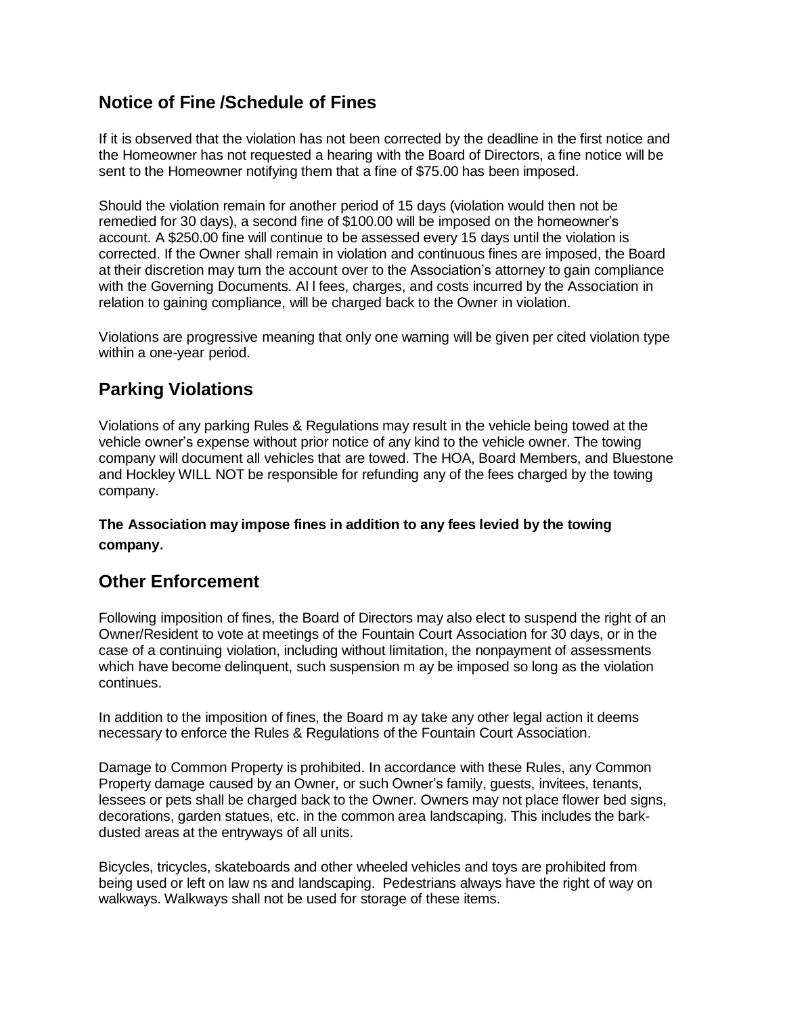#### **Notice of Fine /Schedule of Fines**

If it is observed that the violation has not been corrected by the deadline in the first notice and the Homeowner has not requested a hearing with the Board of Directors, a fine notice will be sent to the Homeowner notifying them that a fine of \$75.00 has been imposed.

Should the violation remain for another period of 15 days (violation would then not be remedied for 30 days), a second fine of \$100.00 will be imposed on the homeowner's account. A \$250.00 fine will continue to be assessed every 15 days until the violation is corrected. If the Owner shall remain in violation and continuous fines are imposed, the Board at their discretion may turn the account over to the Association's attorney to gain compliance with the Governing Documents. Al l fees, charges, and costs incurred by the Association in relation to gaining compliance, will be charged back to the Owner in violation.

Violations are progressive meaning that only one warning will be given per cited violation type within a one-year period.

## **Parking Violations**

Violations of any parking Rules & Regulations may result in the vehicle being towed at the vehicle owner's expense without prior notice of any kind to the vehicle owner. The towing company will document all vehicles that are towed. The HOA, Board Members, and Bluestone and Hockley WILL NOT be responsible for refunding any of the fees charged by the towing company.

**The Association may impose fines in addition to any fees levied by the towing company**.

#### **Other Enforcement**

Following imposition of fines, the Board of Directors may also elect to suspend the right of an Owner/Resident to vote at meetings of the Fountain Court Association for 30 days, or in the case of a continuing violation, including without limitation, the nonpayment of assessments which have become delinquent, such suspension m ay be imposed so long as the violation continues.

In addition to the imposition of fines, the Board m ay take any other legal action it deems necessary to enforce the Rules & Regulations of the Fountain Court Association.

Damage to Common Property is prohibited. In accordance with these Rules, any Common Property damage caused by an Owner, or such Owner's family, guests, invitees, tenants, lessees or pets shall be charged back to the Owner. Owners may not place flower bed signs, decorations, garden statues, etc. in the common area landscaping. This includes the barkdusted areas at the entryways of all units.

Bicycles, tricycles, skateboards and other wheeled vehicles and toys are prohibited from being used or left on law ns and landscaping. Pedestrians always have the right of way on walkways. Walkways shall not be used for storage of these items.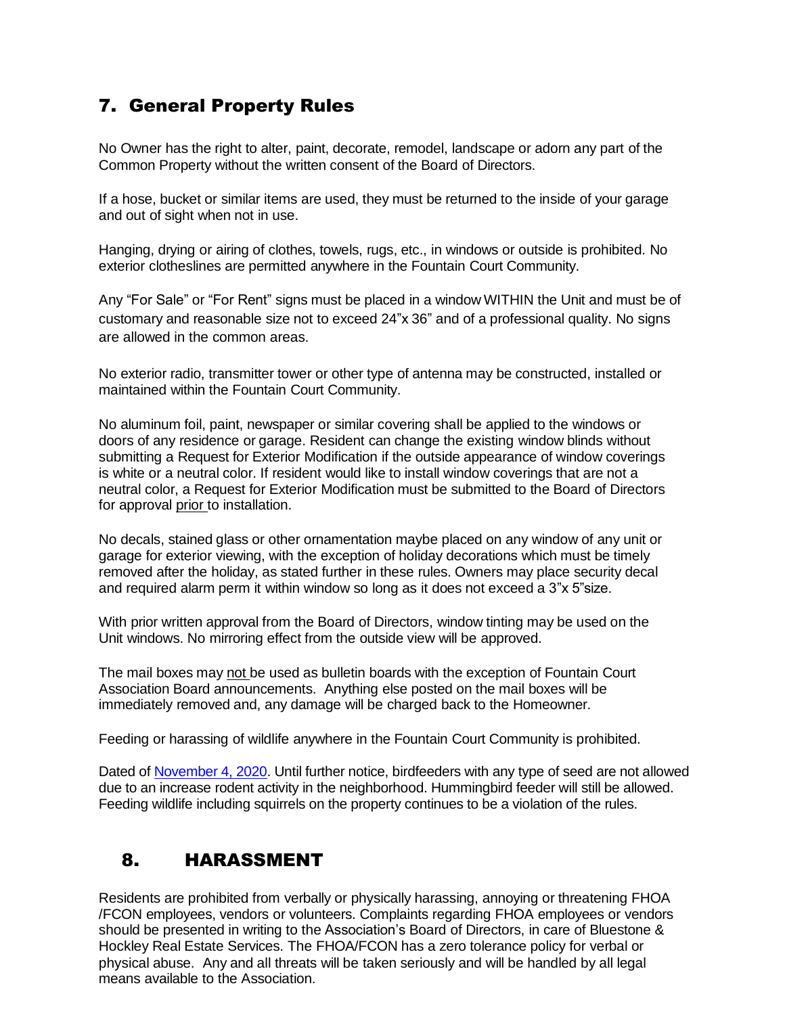# 7. General Property Rules

No Owner has the right to alter, paint, decorate, remodel, landscape or adorn any part of the Common Property without the written consent of the Board of Directors.

If a hose, bucket or similar items are used, they must be returned to the inside of your garage and out of sight when not in use.

Hanging, drying or airing of clothes, towels, rugs, etc., in windows or outside is prohibited. No exterior clotheslines are permitted anywhere in the Fountain Court Community.

Any "For Sale" or "For Rent" signs must be placed in a window WITHIN the Unit and must be of customary and reasonable size not to exceed 24"x 36" and of a professional quality. No signs are allowed in the common areas.

No exterior radio, transmitter tower or other type of antenna may be constructed, installed or maintained within the Fountain Court Community.

No aluminum foil, paint, newspaper or similar covering shall be applied to the windows or doors of any residence or garage. Resident can change the existing window blinds without submitting a Request for Exterior Modification if the outside appearance of window coverings is white or a neutral color. If resident would like to install window coverings that are not a neutral color, a Request for Exterior Modification must be submitted to the Board of Directors for approval prior to installation.

No decals, stained glass or other ornamentation maybe placed on any window of any unit or garage for exterior viewing, with the exception of holiday decorations which must be timely removed after the holiday, as stated further in these rules. Owners may place security decal and required alarm perm it within window so long as it does not exceed a 3"x 5"size.

With prior written approval from the Board of Directors, window tinting may be used on the Unit windows. No mirroring effect from the outside view will be approved.

The mail boxes may not be used as bulletin boards with the exception of Fountain Court Association Board announcements. Anything else posted on the mail boxes will be immediately removed and, any damage will be charged back to the Homeowner.

Feeding or harassing of wildlife anywhere in the Fountain Court Community is prohibited.

Dated of November 4, 2020. Until further notice, birdfeeders with any type of seed are not allowed due to an increase rodent activity in the neighborhood. Hummingbird feeder will still be allowed. Feeding wildlife including squirrels on the property continues to be a violation of the rules.

### 8. HARASSMENT

Residents are prohibited from verbally or physically harassing, annoying or threatening FHOA /FCON employees, vendors or volunteers. Complaints regarding FHOA employees or vendors should be presented in writing to the Association's Board of Directors, in care of Bluestone & Hockley Real Estate Services. The FHOA/FCON has a zero tolerance policy for verbal or physical abuse. Any and all threats will be taken seriously and will be handled by all legal means available to the Association.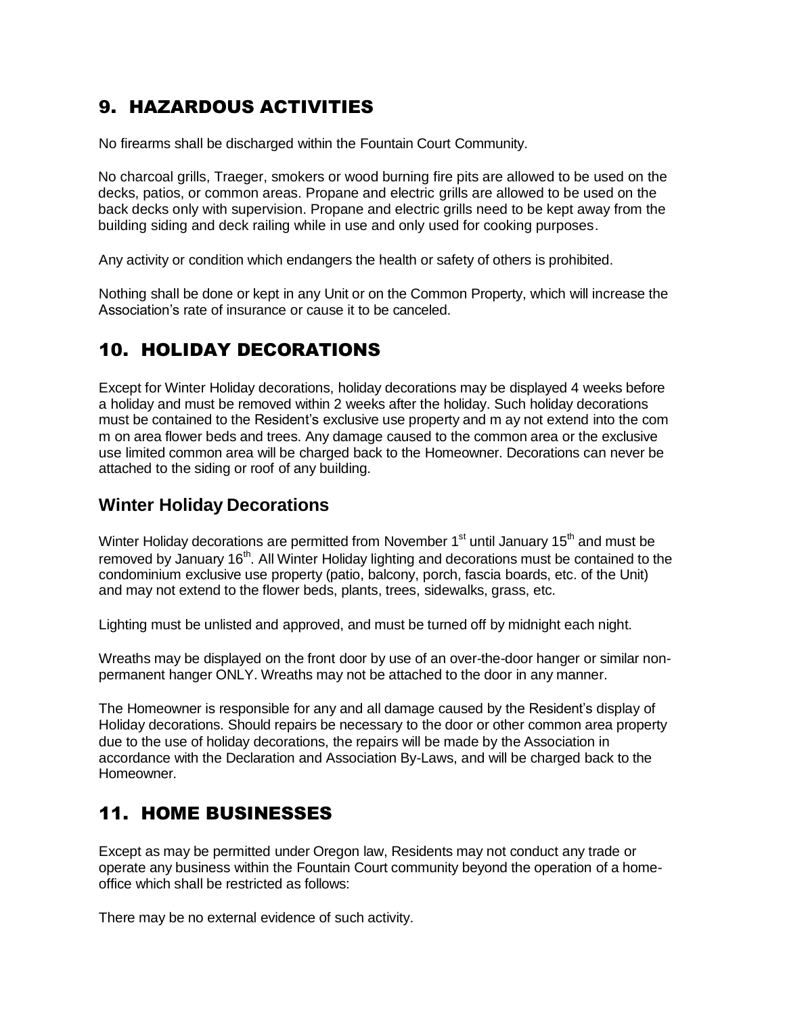# 9. HAZARDOUS ACTIVITIES

No firearms shall be discharged within the Fountain Court Community.

No charcoal grills, Traeger, smokers or wood burning fire pits are allowed to be used on the decks, patios, or common areas. Propane and electric grills are allowed to be used on the back decks only with supervision. Propane and electric grills need to be kept away from the building siding and deck railing while in use and only used for cooking purposes.

Any activity or condition which endangers the health or safety of others is prohibited.

Nothing shall be done or kept in any Unit or on the Common Property, which will increase the Association's rate of insurance or cause it to be canceled.

## 10. HOLIDAY DECORATIONS

Except for Winter Holiday decorations, holiday decorations may be displayed 4 weeks before a holiday and must be removed within 2 weeks after the holiday. Such holiday decorations must be contained to the Resident's exclusive use property and m ay not extend into the com m on area flower beds and trees. Any damage caused to the common area or the exclusive use limited common area will be charged back to the Homeowner. Decorations can never be attached to the siding or roof of any building.

#### **Winter Holiday Decorations**

Winter Holiday decorations are permitted from November 1<sup>st</sup> until January 15<sup>th</sup> and must be removed by January 16<sup>th</sup>. All Winter Holiday lighting and decorations must be contained to the condominium exclusive use property (patio, balcony, porch, fascia boards, etc. of the Unit) and may not extend to the flower beds, plants, trees, sidewalks, grass, etc.

Lighting must be unlisted and approved, and must be turned off by midnight each night.

Wreaths may be displayed on the front door by use of an over-the-door hanger or similar nonpermanent hanger ONLY. Wreaths may not be attached to the door in any manner.

The Homeowner is responsible for any and all damage caused by the Resident's display of Holiday decorations. Should repairs be necessary to the door or other common area property due to the use of holiday decorations, the repairs will be made by the Association in accordance with the Declaration and Association By-Laws, and will be charged back to the Homeowner.

### 11. HOME BUSINESSES

Except as may be permitted under Oregon law, Residents may not conduct any trade or operate any business within the Fountain Court community beyond the operation of a homeoffice which shall be restricted as follows:

There may be no external evidence of such activity.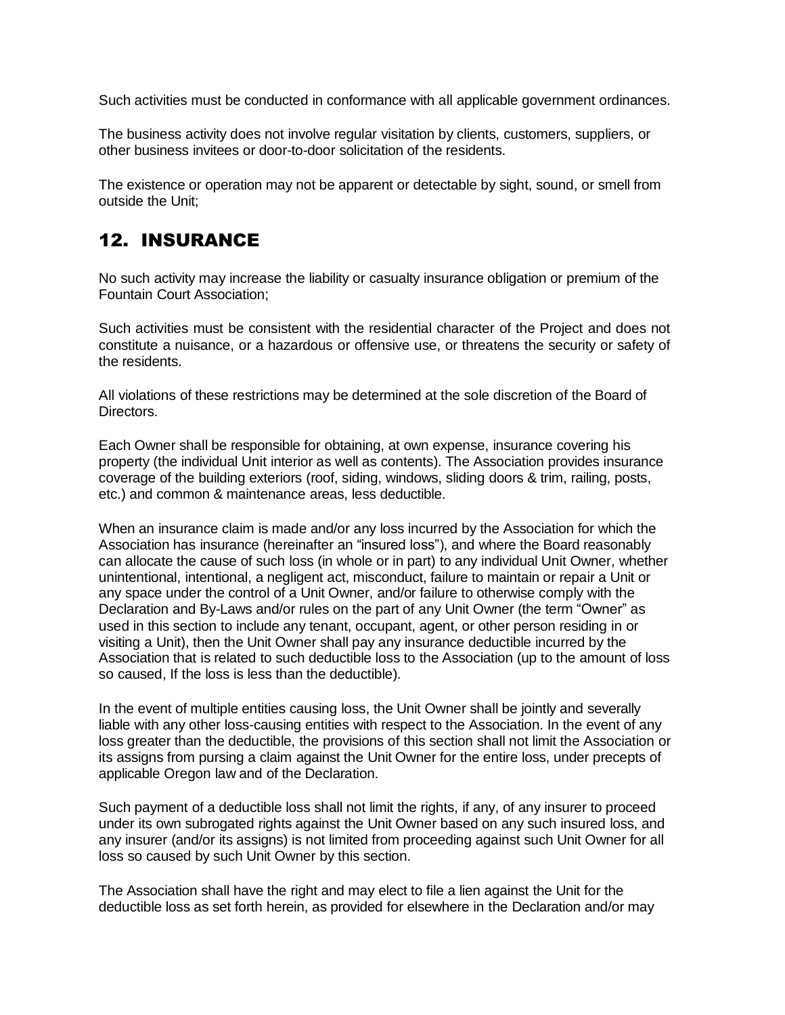Such activities must be conducted in conformance with all applicable government ordinances.

The business activity does not involve regular visitation by clients, customers, suppliers, or other business invitees or door-to-door solicitation of the residents.

The existence or operation may not be apparent or detectable by sight, sound, or smell from outside the Unit;

## 12. INSURANCE

No such activity may increase the liability or casualty insurance obligation or premium of the Fountain Court Association;

Such activities must be consistent with the residential character of the Project and does not constitute a nuisance, or a hazardous or offensive use, or threatens the security or safety of the residents.

All violations of these restrictions may be determined at the sole discretion of the Board of Directors.

Each Owner shall be responsible for obtaining, at own expense, insurance covering his property (the individual Unit interior as well as contents). The Association provides insurance coverage of the building exteriors (roof, siding, windows, sliding doors & trim, railing, posts, etc.) and common & maintenance areas, less deductible.

When an insurance claim is made and/or any loss incurred by the Association for which the Association has insurance (hereinafter an "insured loss"), and where the Board reasonably can allocate the cause of such loss (in whole or in part) to any individual Unit Owner, whether unintentional, intentional, a negligent act, misconduct, failure to maintain or repair a Unit or any space under the control of a Unit Owner, and/or failure to otherwise comply with the Declaration and By-Laws and/or rules on the part of any Unit Owner (the term "Owner" as used in this section to include any tenant, occupant, agent, or other person residing in or visiting a Unit), then the Unit Owner shall pay any insurance deductible incurred by the Association that is related to such deductible loss to the Association (up to the amount of loss so caused, If the loss is less than the deductible).

In the event of multiple entities causing loss, the Unit Owner shall be jointly and severally liable with any other loss-causing entities with respect to the Association. In the event of any loss greater than the deductible, the provisions of this section shall not limit the Association or its assigns from pursing a claim against the Unit Owner for the entire loss, under precepts of applicable Oregon law and of the Declaration.

Such payment of a deductible loss shall not limit the rights, if any, of any insurer to proceed under its own subrogated rights against the Unit Owner based on any such insured loss, and any insurer (and/or its assigns) is not limited from proceeding against such Unit Owner for all loss so caused by such Unit Owner by this section.

The Association shall have the right and may elect to file a lien against the Unit for the deductible loss as set forth herein, as provided for elsewhere in the Declaration and/or may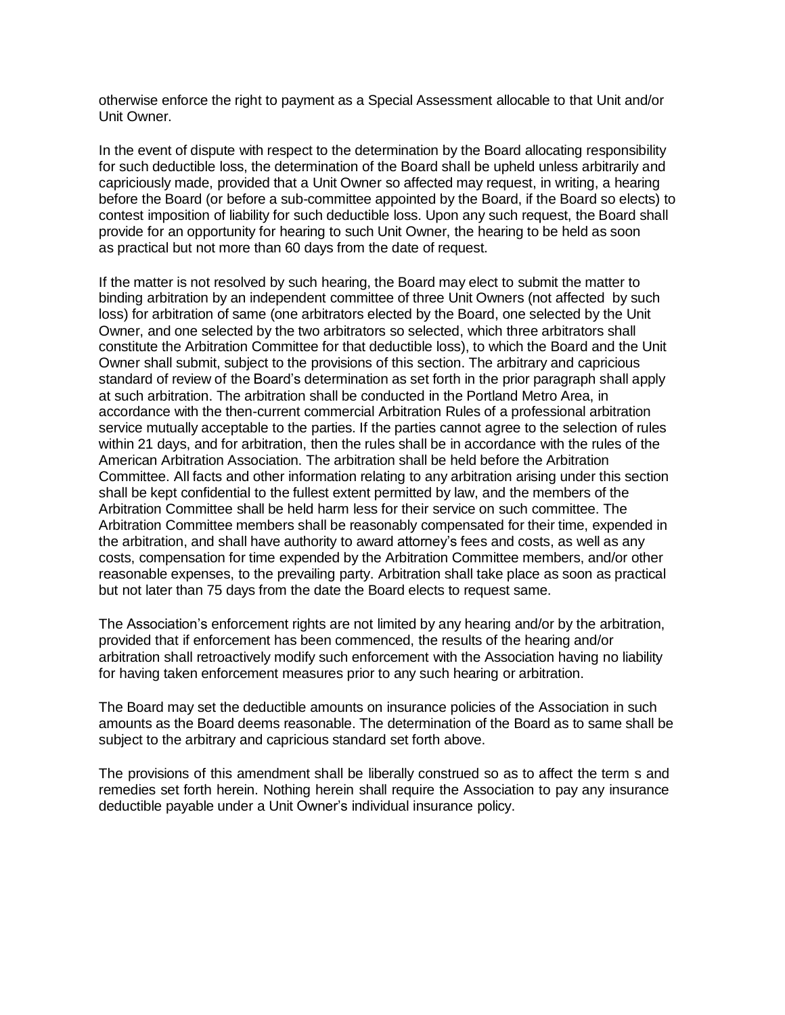otherwise enforce the right to payment as a Special Assessment allocable to that Unit and/or Unit Owner.

In the event of dispute with respect to the determination by the Board allocating responsibility for such deductible loss, the determination of the Board shall be upheld unless arbitrarily and capriciously made, provided that a Unit Owner so affected may request, in writing, a hearing before the Board (or before a sub-committee appointed by the Board, if the Board so elects) to contest imposition of liability for such deductible loss. Upon any such request, the Board shall provide for an opportunity for hearing to such Unit Owner, the hearing to be held as soon as practical but not more than 60 days from the date of request.

If the matter is not resolved by such hearing, the Board may elect to submit the matter to binding arbitration by an independent committee of three Unit Owners (not affected by such loss) for arbitration of same (one arbitrators elected by the Board, one selected by the Unit Owner, and one selected by the two arbitrators so selected, which three arbitrators shall constitute the Arbitration Committee for that deductible loss), to which the Board and the Unit Owner shall submit, subject to the provisions of this section. The arbitrary and capricious standard of review of the Board's determination as set forth in the prior paragraph shall apply at such arbitration. The arbitration shall be conducted in the Portland Metro Area, in accordance with the then-current commercial Arbitration Rules of a professional arbitration service mutually acceptable to the parties. If the parties cannot agree to the selection of rules within 21 days, and for arbitration, then the rules shall be in accordance with the rules of the American Arbitration Association. The arbitration shall be held before the Arbitration Committee. All facts and other information relating to any arbitration arising under this section shall be kept confidential to the fullest extent permitted by law, and the members of the Arbitration Committee shall be held harm less for their service on such committee. The Arbitration Committee members shall be reasonably compensated for their time, expended in the arbitration, and shall have authority to award attorney's fees and costs, as well as any costs, compensation for time expended by the Arbitration Committee members, and/or other reasonable expenses, to the prevailing party. Arbitration shall take place as soon as practical but not later than 75 days from the date the Board elects to request same.

The Association's enforcement rights are not limited by any hearing and/or by the arbitration, provided that if enforcement has been commenced, the results of the hearing and/or arbitration shall retroactively modify such enforcement with the Association having no liability for having taken enforcement measures prior to any such hearing or arbitration.

The Board may set the deductible amounts on insurance policies of the Association in such amounts as the Board deems reasonable. The determination of the Board as to same shall be subject to the arbitrary and capricious standard set forth above.

The provisions of this amendment shall be liberally construed so as to affect the term s and remedies set forth herein. Nothing herein shall require the Association to pay any insurance deductible payable under a Unit Owner's individual insurance policy.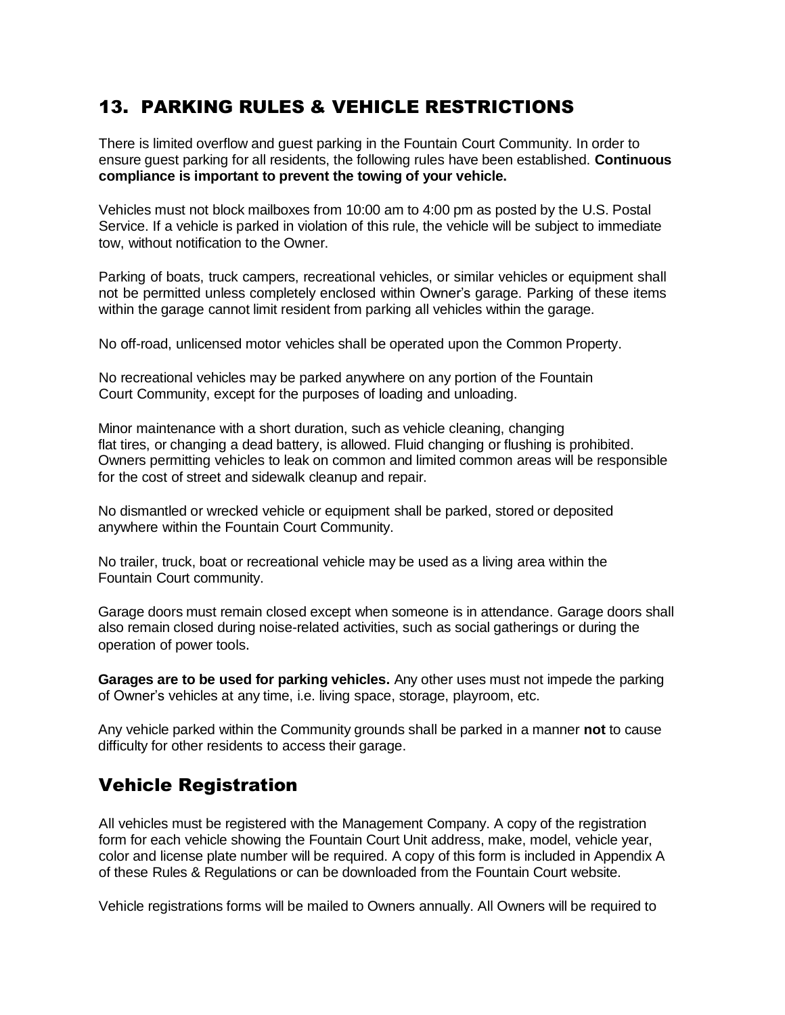# 13. PARKING RULES & VEHICLE RESTRICTIONS

There is limited overflow and guest parking in the Fountain Court Community. In order to ensure guest parking for all residents, the following rules have been established. **Continuous compliance is important to prevent the towing of your vehicle.**

Vehicles must not block mailboxes from 10:00 am to 4:00 pm as posted by the U.S. Postal Service. If a vehicle is parked in violation of this rule, the vehicle will be subject to immediate tow, without notification to the Owner.

Parking of boats, truck campers, recreational vehicles, or similar vehicles or equipment shall not be permitted unless completely enclosed within Owner's garage. Parking of these items within the garage cannot limit resident from parking all vehicles within the garage.

No off-road, unlicensed motor vehicles shall be operated upon the Common Property.

No recreational vehicles may be parked anywhere on any portion of the Fountain Court Community, except for the purposes of loading and unloading.

Minor maintenance with a short duration, such as vehicle cleaning, changing flat tires, or changing a dead battery, is allowed. Fluid changing or flushing is prohibited. Owners permitting vehicles to leak on common and limited common areas will be responsible for the cost of street and sidewalk cleanup and repair.

No dismantled or wrecked vehicle or equipment shall be parked, stored or deposited anywhere within the Fountain Court Community.

No trailer, truck, boat or recreational vehicle may be used as a living area within the Fountain Court community.

Garage doors must remain closed except when someone is in attendance. Garage doors shall also remain closed during noise-related activities, such as social gatherings or during the operation of power tools.

**Garages are to be used for parking vehicles.** Any other uses must not impede the parking of Owner's vehicles at any time, i.e. living space, storage, playroom, etc.

Any vehicle parked within the Community grounds shall be parked in a manner **not** to cause difficulty for other residents to access their garage.

### Vehicle Registration

All vehicles must be registered with the Management Company. A copy of the registration form for each vehicle showing the Fountain Court Unit address, make, model, vehicle year, color and license plate number will be required. A copy of this form is included in Appendix A of these Rules & Regulations or can be downloaded from the Fountain Court website.

Vehicle registrations forms will be mailed to Owners annually. All Owners will be required to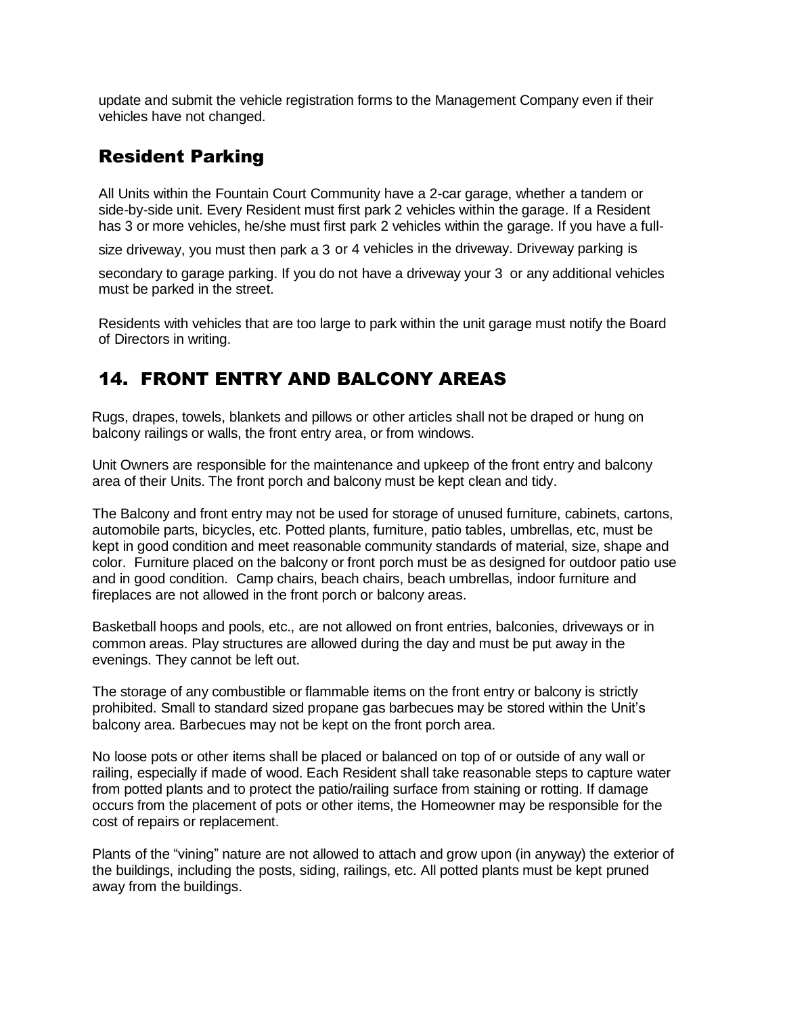update and submit the vehicle registration forms to the Management Company even if their vehicles have not changed.

## Resident Parking

All Units within the Fountain Court Community have a 2-car garage, whether a tandem or side-by-side unit. Every Resident must first park 2 vehicles within the garage. If a Resident has 3 or more vehicles, he/she must first park 2 vehicles within the garage. If you have a full-

size driveway, you must then park a 3 or 4 vehicles in the driveway. Driveway parking is

secondary to garage parking. If you do not have a driveway your 3 or any additional vehicles must be parked in the street.

Residents with vehicles that are too large to park within the unit garage must notify the Board of Directors in writing.

# 14. FRONT ENTRY AND BALCONY AREAS

Rugs, drapes, towels, blankets and pillows or other articles shall not be draped or hung on balcony railings or walls, the front entry area, or from windows.

Unit Owners are responsible for the maintenance and upkeep of the front entry and balcony area of their Units. The front porch and balcony must be kept clean and tidy.

The Balcony and front entry may not be used for storage of unused furniture, cabinets, cartons, automobile parts, bicycles, etc. Potted plants, furniture, patio tables, umbrellas, etc, must be kept in good condition and meet reasonable community standards of material, size, shape and color. Furniture placed on the balcony or front porch must be as designed for outdoor patio use and in good condition. Camp chairs, beach chairs, beach umbrellas, indoor furniture and fireplaces are not allowed in the front porch or balcony areas.

Basketball hoops and pools, etc., are not allowed on front entries, balconies, driveways or in common areas. Play structures are allowed during the day and must be put away in the evenings. They cannot be left out.

The storage of any combustible or flammable items on the front entry or balcony is strictly prohibited. Small to standard sized propane gas barbecues may be stored within the Unit's balcony area. Barbecues may not be kept on the front porch area.

No loose pots or other items shall be placed or balanced on top of or outside of any wall or railing, especially if made of wood. Each Resident shall take reasonable steps to capture water from potted plants and to protect the patio/railing surface from staining or rotting. If damage occurs from the placement of pots or other items, the Homeowner may be responsible for the cost of repairs or replacement.

Plants of the "vining" nature are not allowed to attach and grow upon (in anyway) the exterior of the buildings, including the posts, siding, railings, etc. All potted plants must be kept pruned away from the buildings.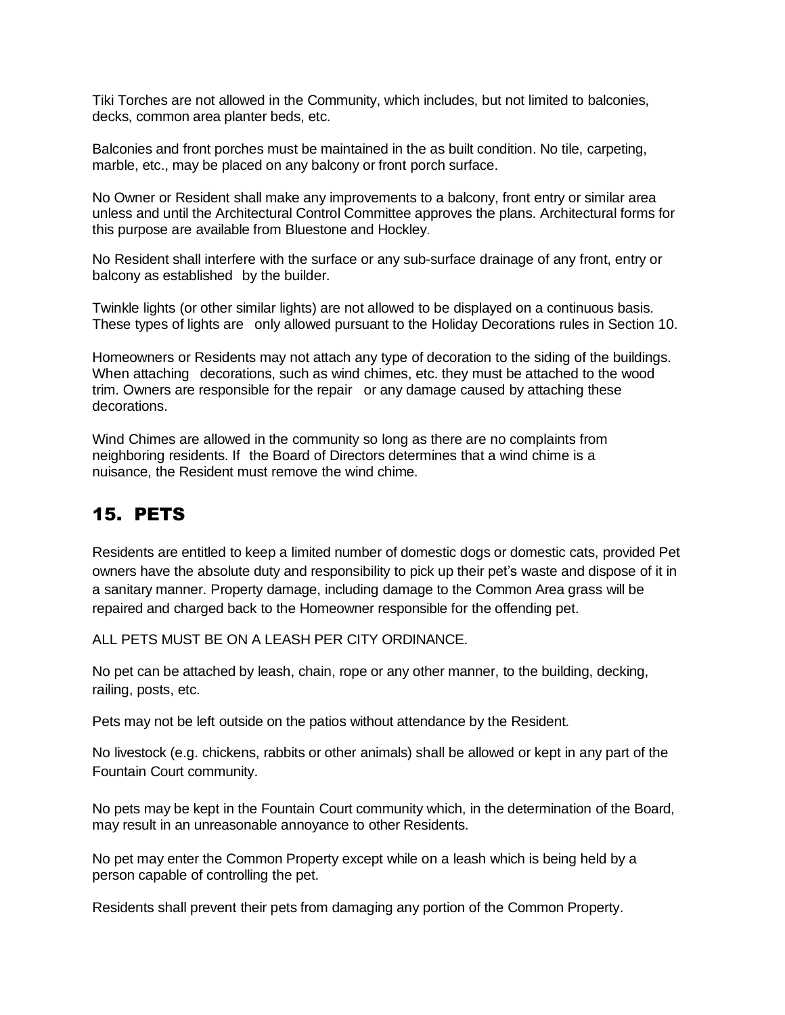Tiki Torches are not allowed in the Community, which includes, but not limited to balconies, decks, common area planter beds, etc.

Balconies and front porches must be maintained in the as built condition. No tile, carpeting, marble, etc., may be placed on any balcony or front porch surface.

No Owner or Resident shall make any improvements to a balcony, front entry or similar area unless and until the Architectural Control Committee approves the plans. Architectural forms for this purpose are available from Bluestone and Hockley.

No Resident shall interfere with the surface or any sub-surface drainage of any front, entry or balcony as established by the builder.

Twinkle lights (or other similar lights) are not allowed to be displayed on a continuous basis. These types of lights are only allowed pursuant to the Holiday Decorations rules in Section 10.

Homeowners or Residents may not attach any type of decoration to the siding of the buildings. When attaching decorations, such as wind chimes, etc. they must be attached to the wood trim. Owners are responsible for the repair or any damage caused by attaching these decorations.

Wind Chimes are allowed in the community so long as there are no complaints from neighboring residents. If the Board of Directors determines that a wind chime is a nuisance, the Resident must remove the wind chime.

# 15. PETS

Residents are entitled to keep a limited number of domestic dogs or domestic cats, provided Pet owners have the absolute duty and responsibility to pick up their pet's waste and dispose of it in a sanitary manner. Property damage, including damage to the Common Area grass will be repaired and charged back to the Homeowner responsible for the offending pet.

ALL PETS MUST BE ON A LEASH PER CITY ORDINANCE.

No pet can be attached by leash, chain, rope or any other manner, to the building, decking, railing, posts, etc.

Pets may not be left outside on the patios without attendance by the Resident.

No livestock (e.g. chickens, rabbits or other animals) shall be allowed or kept in any part of the Fountain Court community.

No pets may be kept in the Fountain Court community which, in the determination of the Board, may result in an unreasonable annoyance to other Residents.

No pet may enter the Common Property except while on a leash which is being held by a person capable of controlling the pet.

Residents shall prevent their pets from damaging any portion of the Common Property.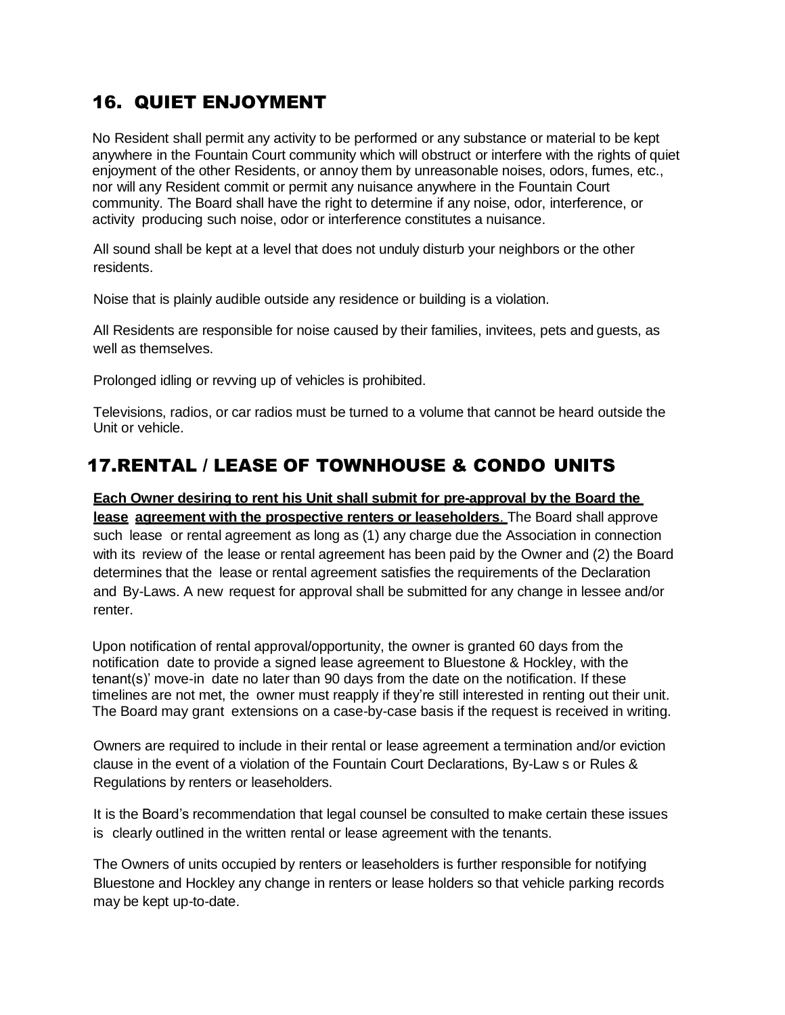# 16. QUIET ENJOYMENT

No Resident shall permit any activity to be performed or any substance or material to be kept anywhere in the Fountain Court community which will obstruct or interfere with the rights of quiet enjoyment of the other Residents, or annoy them by unreasonable noises, odors, fumes, etc., nor will any Resident commit or permit any nuisance anywhere in the Fountain Court community. The Board shall have the right to determine if any noise, odor, interference, or activity producing such noise, odor or interference constitutes a nuisance.

All sound shall be kept at a level that does not unduly disturb your neighbors or the other residents.

Noise that is plainly audible outside any residence or building is a violation.

All Residents are responsible for noise caused by their families, invitees, pets and guests, as well as themselves.

Prolonged idling or revving up of vehicles is prohibited.

Televisions, radios, or car radios must be turned to a volume that cannot be heard outside the Unit or vehicle.

# 17.RENTAL / LEASE OF TOWNHOUSE & CONDO UNITS

**Each Owner desiring to rent his Unit shall submit for pre-approval by the Board the lease agreement with the prospective renters or leaseholders**. The Board shall approve such lease or rental agreement as long as (1) any charge due the Association in connection with its review of the lease or rental agreement has been paid by the Owner and (2) the Board determines that the lease or rental agreement satisfies the requirements of the Declaration and By-Laws. A new request for approval shall be submitted for any change in lessee and/or renter.

Upon notification of rental approval/opportunity, the owner is granted 60 days from the notification date to provide a signed lease agreement to Bluestone & Hockley, with the tenant(s)' move-in date no later than 90 days from the date on the notification. If these timelines are not met, the owner must reapply if they're still interested in renting out their unit. The Board may grant extensions on a case-by-case basis if the request is received in writing.

Owners are required to include in their rental or lease agreement a termination and/or eviction clause in the event of a violation of the Fountain Court Declarations, By-Law s or Rules & Regulations by renters or leaseholders.

It is the Board's recommendation that legal counsel be consulted to make certain these issues is clearly outlined in the written rental or lease agreement with the tenants.

The Owners of units occupied by renters or leaseholders is further responsible for notifying Bluestone and Hockley any change in renters or lease holders so that vehicle parking records may be kept up-to-date.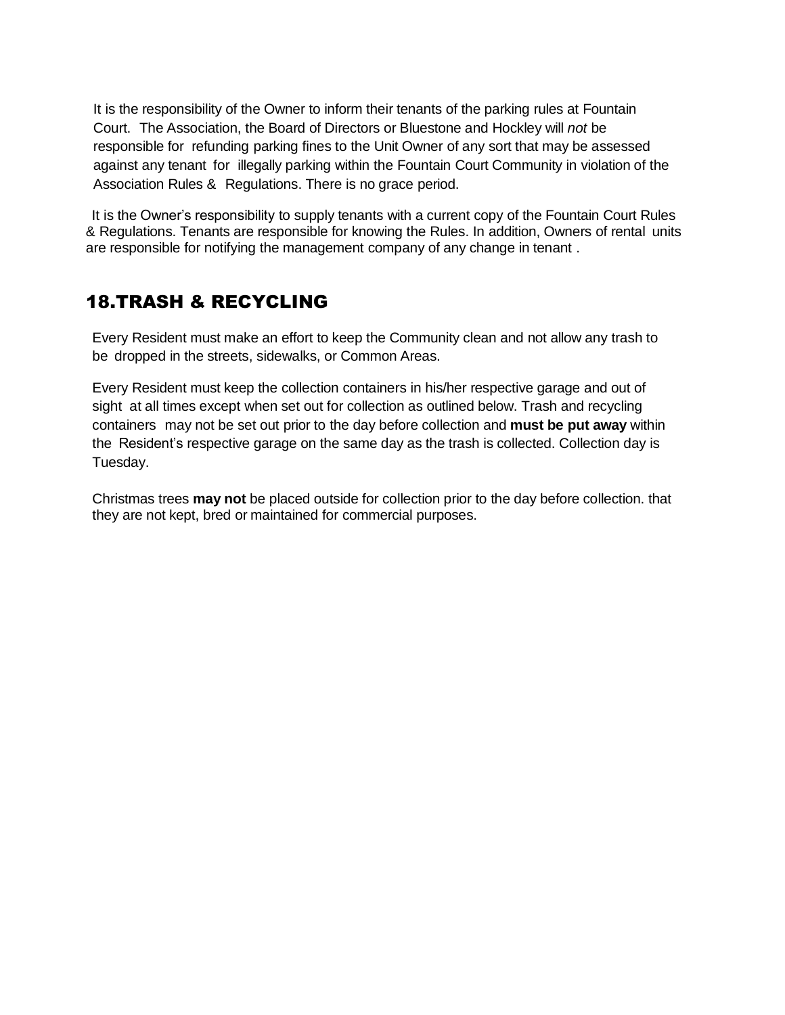It is the responsibility of the Owner to inform their tenants of the parking rules at Fountain Court. The Association, the Board of Directors or Bluestone and Hockley will *not* be responsible for refunding parking fines to the Unit Owner of any sort that may be assessed against any tenant for illegally parking within the Fountain Court Community in violation of the Association Rules & Regulations. There is no grace period.

It is the Owner's responsibility to supply tenants with a current copy of the Fountain Court Rules & Regulations. Tenants are responsible for knowing the Rules. In addition, Owners of rental units are responsible for notifying the management company of any change in tenant .

# 18.TRASH & RECYCLING

Every Resident must make an effort to keep the Community clean and not allow any trash to be dropped in the streets, sidewalks, or Common Areas.

Every Resident must keep the collection containers in his/her respective garage and out of sight at all times except when set out for collection as outlined below. Trash and recycling containers may not be set out prior to the day before collection and **must be put away** within the Resident's respective garage on the same day as the trash is collected. Collection day is Tuesday.

Christmas trees **may not** be placed outside for collection prior to the day before collection. that they are not kept, bred or maintained for commercial purposes.